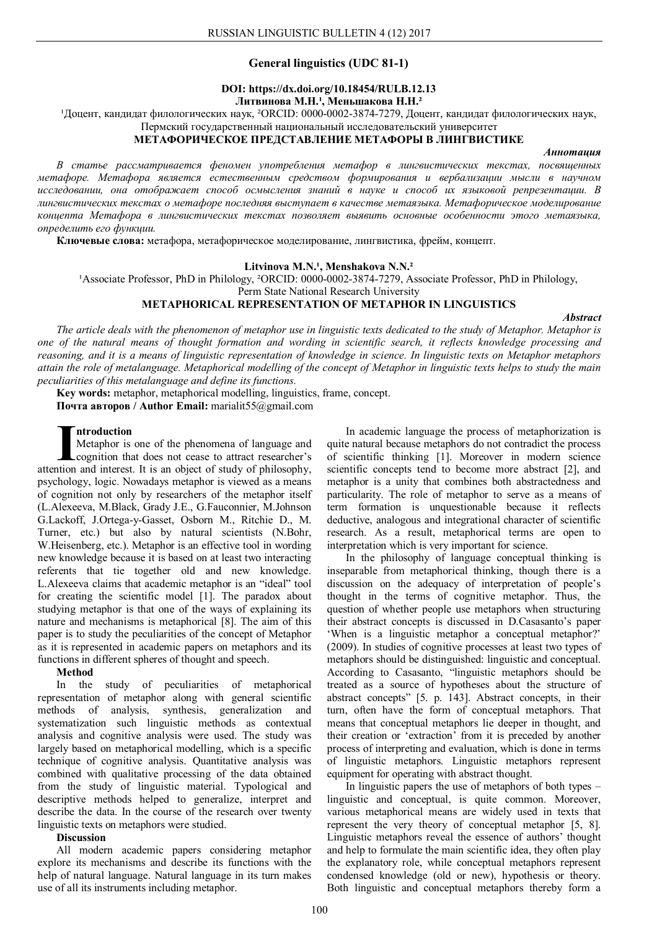## **General linguistics (UDC 81-1)**

### **DOI: https://dx.doi.org/10.18454/RULB.12.13** Литвинова М.Н.<sup>1</sup>, Меньшакова Н.Н.<sup>2</sup>

<sup>1</sup>Доцент, кандидат филологических наук, <sup>2</sup>ORCID: 0000-0002-3874-7279, Доцент, кандидат филологических наук,

### Пермский государственный национальный исследовательский университет **МЕТАФОРИЧЕСКОЕ ПРЕДСТАВЛЕНИЕ МЕТАФОРЫ В ЛИНГВИСТИКЕ**

### *Аннотация*

*В статье рассматривается феномен употребления метафор в лингвистических текстах, посвященных метафоре. Метафора является естественным средством формирования и вербализации мысли в научном исследовании, она отображает способ осмысления знаний в науке и способ их языковой репрезентации. В лингвистических текстах о метафоре последняя выступает в качестве метаязыка. Метафорическое моделирование концепта Метафора в лингвистических текстах позволяет выявить основные особенности этого метаязыка, определить его функции.*

**Ключевые слова:** метафора, метафорическое моделирование, лингвистика, фрейм, концепт.

### Litvinova M.N.<sup>1</sup>, Menshakova N.N.<sup>2</sup>

<sup>1</sup>Associate Professor, PhD in Philology, <sup>2</sup>ORCID: 0000-0002-3874-7279, Associate Professor, PhD in Philology,

Perm State National Research University

## **METAPHORICAL REPRESENTATION OF METAPHOR IN LINGUISTICS**

*Abstract*

*The article deals with the phenomenon of metaphor use in linguistic texts dedicated to the study of Metaphor. Metaphor is one of the natural means of thought formation and wording in scientific search, it reflects knowledge processing and reasoning, and it is a means of linguistic representation of knowledge in science. In linguistic texts on Metaphor metaphors attain the role of metalanguage. Metaphorical modelling of the concept of Metaphor in linguistic texts helps to study the main peculiarities of this metalanguage and define its functions.*

**Key words:** metaphor, metaphorical modelling, linguistics, frame, concept. **Почта авторов / Author Email:** marialit55@gmail.com

### **ntroduction**

Metaphor is one of the phenomena of language and cognition that does not cease to attract researcher's **Introduction**<br>Metaphor is one of the phenomena of language and<br>cognition that does not cease to attract researcher's<br>attention and interest. It is an object of study of philosophy, psychology, logic. Nowadays metaphor is viewed as a means of cognition not only by researchers of the metaphor itself (L.Alexeeva, M.Black, Grady J.E., G.Fauconnier, M.Johnson G.Lackoff, J.Ortega-y-Gasset, Osborn M., Ritchie D., M. Turner, etc.) but also by natural scientists (N.Bohr, W.Heisenberg, etc.). Metaphor is an effective tool in wording new knowledge because it is based on at least two interacting referents that tie together old and new knowledge. L.Alexeeva claims that academic metaphor is an "ideal" tool for creating the scientific model [1]. The paradox about studying metaphor is that one of the ways of explaining its nature and mechanisms is metaphorical [8]. The aim of this paper is to study the peculiarities of the concept of Metaphor as it is represented in academic papers on metaphors and its functions in different spheres of thought and speech.

# **Method**

In the study of peculiarities of metaphorical representation of metaphor along with general scientific methods of analysis, synthesis, generalization and systematization such linguistic methods as contextual analysis and cognitive analysis were used. The study was largely based on metaphorical modelling, which is a specific technique of cognitive analysis. Quantitative analysis was combined with qualitative processing of the data obtained from the study of linguistic material. Typological and descriptive methods helped to generalize, interpret and describe the data. In the course of the research over twenty linguistic texts on metaphors were studied.

### **Discussion**

All modern academic papers considering metaphor explore its mechanisms and describe its functions with the help of natural language. Natural language in its turn makes use of all its instruments including metaphor.

In academic language the process of metaphorization is quite natural because metaphors do not contradict the process of scientific thinking [1]. Moreover in modern science scientific concepts tend to become more abstract [2], and metaphor is a unity that combines both abstractedness and particularity. The role of metaphor to serve as a means of term formation is unquestionable because it reflects deductive, analogous and integrational character of scientific research. As a result, metaphorical terms are open to interpretation which is very important for science.

In the philosophy of language conceptual thinking is inseparable from metaphorical thinking, though there is a discussion on the adequacy of interpretation of people's thought in the terms of cognitive metaphor. Thus, the question of whether people use metaphors when structuring their abstract concepts is discussed in D.Casasanto's paper 'When is a linguistic metaphor a conceptual metaphor?' (2009). In studies of cognitive processes at least two types of metaphors should be distinguished: linguistic and conceptual. According to Casasanto, "linguistic metaphors should be treated as a source of hypotheses about the structure of abstract concepts" [5. p. 143]. Abstract concepts, in their turn, often have the form of conceptual metaphors. That means that conceptual metaphors lie deeper in thought, and their creation or 'extraction' from it is preceded by another process of interpreting and evaluation, which is done in terms of linguistic metaphors. Linguistic metaphors represent equipment for operating with abstract thought.

In linguistic papers the use of metaphors of both types – linguistic and conceptual, is quite common. Moreover, various metaphorical means are widely used in texts that represent the very theory of conceptual metaphor [5, 8]. Linguistic metaphors reveal the essence of authors' thought and help to formulate the main scientific idea, they often play the explanatory role, while conceptual metaphors represent condensed knowledge (old or new), hypothesis or theory. Both linguistic and conceptual metaphors thereby form a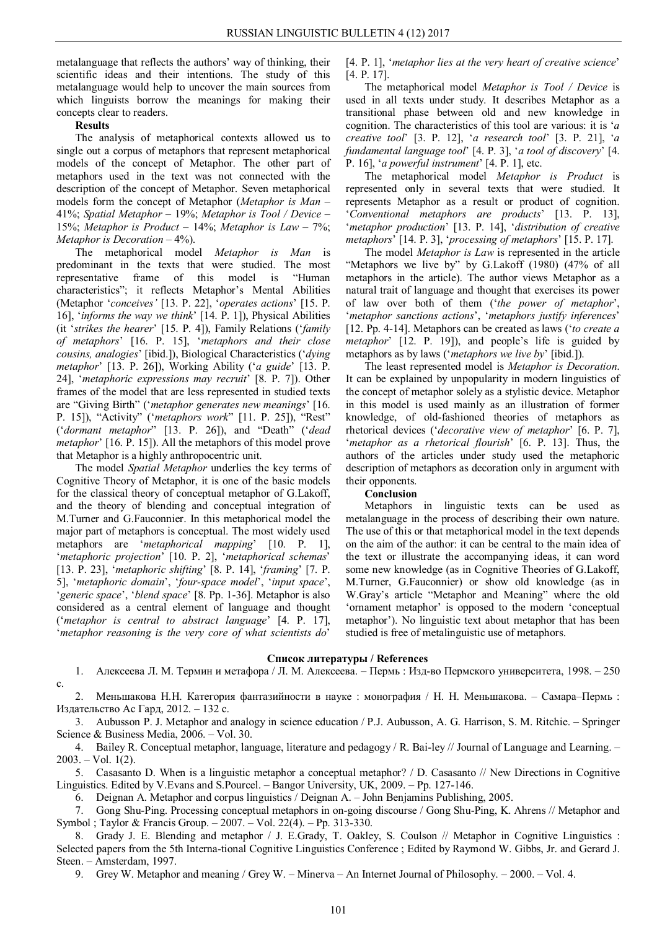metalanguage that reflects the authors' way of thinking, their scientific ideas and their intentions. The study of this metalanguage would help to uncover the main sources from which linguists borrow the meanings for making their concepts clear to readers.

## **Results**

The analysis of metaphorical contexts allowed us to single out a corpus of metaphors that represent metaphorical models of the concept of Metaphor. The other part of metaphors used in the text was not connected with the description of the concept of Metaphor. Seven metaphorical models form the concept of Metaphor (*Metaphor is Man* – 41%; *Spatial Metaphor* – 19%; *Metaphor is Tool / Device* – 15%; *Metaphor is Product* – 14%; *Metaphor is Law* – 7%; *Metaphor is Decoration* – 4%).

The metaphorical model *Metaphor is Man* is predominant in the texts that were studied. The most representative frame of this model is "Human characteristics"; it reflects Metaphor's Mental Abilities (Metaphor '*conceives'* [13. P. 22], '*operates actions*' [15. P. 16], '*informs the way we think*' [14. P. 1]), Physical Abilities (it '*strikes the hearer*' [15. P. 4]), Family Relations ('*family of metaphors*' [16. P. 15], '*metaphors and their close cousins, analogies*' [ibid.]), Biological Characteristics ('*dying metaphor*' [13. P. 26]), Working Ability ('*a guide*' [13. P. 24], '*metaphoric expressions may recruit*' [8. P. 7]). Other frames of the model that are less represented in studied texts are "Giving Birth" ('*metaphor generates new meanings*' [16. P. 15]), "Activity" ('*metaphors work*" [11. P. 25]), "Rest" ('*dormant metaphor*" [13. P. 26]), and "Death" ('*dead metaphor*' [16. P. 15]). All the metaphors of this model prove that Metaphor is a highly anthropocentric unit.

The model *Spatial Metaphor* underlies the key terms of Cognitive Theory of Metaphor, it is one of the basic models for the classical theory of conceptual metaphor of G.Lakoff, and the theory of blending and conceptual integration of M.Turner and G.Fauconnier. In this metaphorical model the major part of metaphors is conceptual. The most widely used metaphors are '*metaphorical mapping*' [10. P. 1], '*metaphoric projection*' [10. P. 2], '*metaphorical schemas*' [13. P. 23], '*metaphoric shifting*' [8. P. 14], '*framing*' [7. P. 5], '*metaphoric domain*', '*four-space model*', '*input space*', '*generic space*', '*blend space*' [8. Pp. 1-36]. Metaphor is also considered as a central element of language and thought ('*metaphor is central to abstract language*' [4. P. 17], '*metaphor reasoning is the very core of what scientists do*'

[4. P. 1], '*metaphor lies at the very heart of creative science*' [4. P. 17].

The metaphorical model *Metaphor is Tool / Device* is used in all texts under study. It describes Metaphor as a transitional phase between old and new knowledge in cognition. The characteristics of this tool are various: it is '*a creative tool*' [3. P. 12], '*a research tool*' [3. P. 21], '*a fundamental language tool*' [4. P. 3], '*a tool of discovery*' [4. P. 16], '*a powerful instrument*' [4. P. 1], etc.

The metaphorical model *Metaphor is Product* is represented only in several texts that were studied. It represents Metaphor as a result or product of cognition. '*Conventional metaphors are products*' [13. P. 13], '*metaphor production*' [13. P. 14], '*distribution of creative metaphors*' [14. P. 3], '*processing of metaphors*' [15. P. 17].

The model *Metaphor is Law* is represented in the article "Metaphors we live by" by G.Lakoff (1980) (47% of all metaphors in the article). The author views Metaphor as a natural trait of language and thought that exercises its power of law over both of them ('*the power of metaphor*', '*metaphor sanctions actions*', '*metaphors justify inferences*' [12. Pp. 4-14]. Metaphors can be created as laws ('*to create a metaphor*' [12. P. 19]), and people's life is guided by metaphors as by laws ('*metaphors we live by*' [ibid.]).

The least represented model is *Metaphor is Decoration*. It can be explained by unpopularity in modern linguistics of the concept of metaphor solely as a stylistic device. Metaphor in this model is used mainly as an illustration of former knowledge, of old-fashioned theories of metaphors as rhetorical devices ('*decorative view of metaphor*' [6. P. 7], '*metaphor as a rhetorical flourish*' [6. P. 13]. Thus, the authors of the articles under study used the metaphoric description of metaphors as decoration only in argument with their opponents.

### **Conclusion**

Metaphors in linguistic texts can be used as metalanguage in the process of describing their own nature. The use of this or that metaphorical model in the text depends on the aim of the author: it can be central to the main idea of the text or illustrate the accompanying ideas, it can word some new knowledge (as in Cognitive Theories of G.Lakoff, M.Turner, G.Fauconnier) or show old knowledge (as in W.Gray's article "Metaphor and Meaning" where the old 'ornament metaphor' is opposed to the modern 'conceptual metaphor'). No linguistic text about metaphor that has been studied is free of metalinguistic use of metaphors.

### **Список литературы / References**

1. Алексеева Л. М. Термин и метафора / Л. М. Алексеева. – Пермь : Изд-во Пермского университета, 1998. – 250 с.

2. Меньшакова Н.Н. Категория фантазийности в науке : монография / Н. Н. Меньшакова. – Самара–Пермь : Издательство Ас Гард, 2012. – 132 с.

3. Aubusson P. J. Metaphor and analogy in science education / P.J. Aubusson, A. G. Harrison, S. M. Ritchie. – Springer Science & Business Media, 2006. – Vol. 30.

4. Bailey R. Conceptual metaphor, language, literature and pedagogy / R. Bai-ley // Journal of Language and Learning. –  $2003. - Vol. 1(2)$ .

5. Casasanto D. When is a linguistic metaphor a conceptual metaphor? / D. Casasanto // New Directions in Cognitive Linguistics. Edited by V.Evans and S.Pourcel. – Bangor University, UK, 2009. – Pp. 127-146.

6. Deignan A. Metaphor and corpus linguistics / Deignan A. – John Benjamins Publishing, 2005.

7. Gong Shu-Ping. Processing conceptual metaphors in on-going discourse / Gong Shu-Ping, K. Ahrens // Metaphor and Symbol ; Taylor & Francis Group. – 2007. – Vol. 22(4). – Pp. 313-330.

8. Grady J. E. Blending and metaphor / J. E.Grady, T. Oakley, S. Coulson // Metaphor in Cognitive Linguistics : Selected papers from the 5th Interna-tional Cognitive Linguistics Conference ; Edited by Raymond W. Gibbs, Jr. and Gerard J. Steen. – Amsterdam, 1997.

9. Grey W. Metaphor and meaning / Grey W. – Minerva – An Internet Journal of Philosophy. – 2000. – Vol. 4.